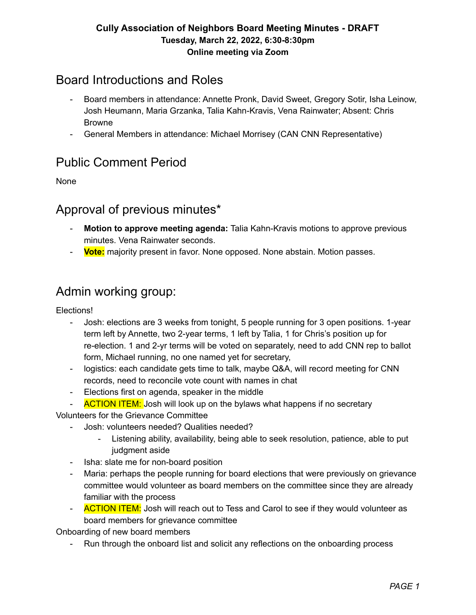### Board Introductions and Roles

- Board members in attendance: Annette Pronk, David Sweet, Gregory Sotir, Isha Leinow, Josh Heumann, Maria Grzanka, Talia Kahn-Kravis, Vena Rainwater; Absent: Chris Browne
- General Members in attendance: Michael Morrisey (CAN CNN Representative)

## Public Comment Period

None

### Approval of previous minutes\*

- **Motion to approve meeting agenda:** Talia Kahn-Kravis motions to approve previous minutes. Vena Rainwater seconds.
- **Vote:** majority present in favor. None opposed. None abstain. Motion passes.

## Admin working group:

Elections!

- Josh: elections are 3 weeks from tonight, 5 people running for 3 open positions. 1-year term left by Annette, two 2-year terms, 1 left by Talia, 1 for Chris's position up for re-election. 1 and 2-yr terms will be voted on separately, need to add CNN rep to ballot form, Michael running, no one named yet for secretary,
- logistics: each candidate gets time to talk, maybe Q&A, will record meeting for CNN records, need to reconcile vote count with names in chat
- Elections first on agenda, speaker in the middle
- **ACTION ITEM:** Josh will look up on the bylaws what happens if no secretary

Volunteers for the Grievance Committee

- Josh: volunteers needed? Qualities needed?
	- Listening ability, availability, being able to seek resolution, patience, able to put judgment aside
- Isha: slate me for non-board position
- Maria: perhaps the people running for board elections that were previously on grievance committee would volunteer as board members on the committee since they are already familiar with the process
- **ACTION ITEM:** Josh will reach out to Tess and Carol to see if they would volunteer as board members for grievance committee

Onboarding of new board members

- Run through the onboard list and solicit any reflections on the onboarding process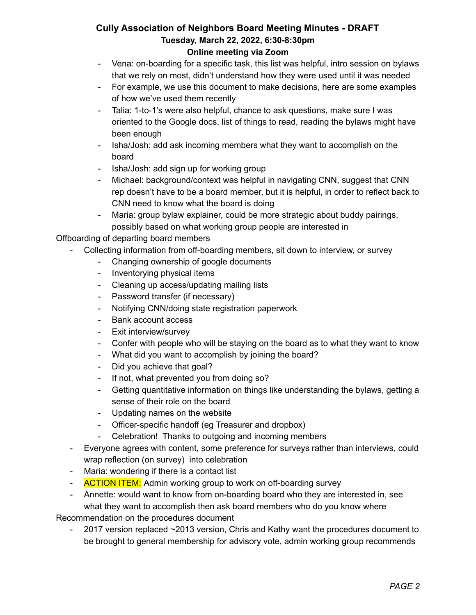- Vena: on-boarding for a specific task, this list was helpful, intro session on bylaws that we rely on most, didn't understand how they were used until it was needed
- For example, we use this document to make decisions, here are some examples of how we've used them recently
- Talia: 1-to-1's were also helpful, chance to ask questions, make sure I was oriented to the Google docs, list of things to read, reading the bylaws might have been enough
- Isha/Josh: add ask incoming members what they want to accomplish on the board
- Isha/Josh: add sign up for working group
- Michael: background/context was helpful in navigating CNN, suggest that CNN rep doesn't have to be a board member, but it is helpful, in order to reflect back to CNN need to know what the board is doing
- Maria: group bylaw explainer, could be more strategic about buddy pairings, possibly based on what working group people are interested in

Offboarding of departing board members

- Collecting information from off-boarding members, sit down to interview, or survey
	- Changing ownership of google documents
	- Inventorying physical items
	- Cleaning up access/updating mailing lists
	- Password transfer (if necessary)
	- Notifying CNN/doing state registration paperwork
	- Bank account access
	- Exit interview/survey
	- Confer with people who will be staying on the board as to what they want to know
	- What did you want to accomplish by joining the board?
	- Did you achieve that goal?
	- If not, what prevented you from doing so?
	- Getting quantitative information on things like understanding the bylaws, getting a sense of their role on the board
	- Updating names on the website
	- Officer-specific handoff (eg Treasurer and dropbox)
	- Celebration! Thanks to outgoing and incoming members
- Everyone agrees with content, some preference for surveys rather than interviews, could wrap reflection (on survey) into celebration
- Maria: wondering if there is a contact list
- **ACTION ITEM:** Admin working group to work on off-boarding survey
- Annette: would want to know from on-boarding board who they are interested in, see what they want to accomplish then ask board members who do you know where

Recommendation on the procedures document

2017 version replaced ~2013 version, Chris and Kathy want the procedures document to be brought to general membership for advisory vote, admin working group recommends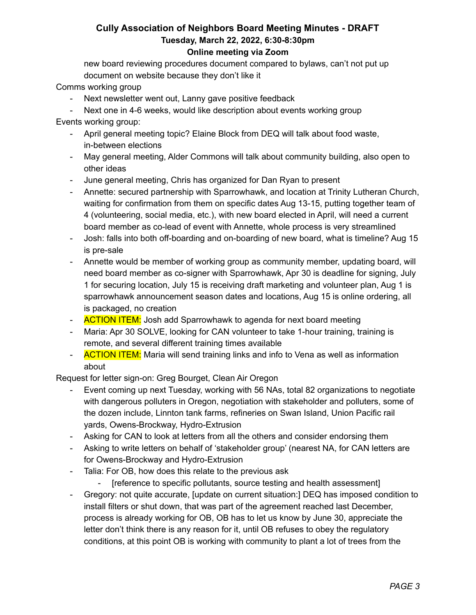new board reviewing procedures document compared to bylaws, can't not put up document on website because they don't like it

Comms working group

- Next newsletter went out, Lanny gave positive feedback
- Next one in 4-6 weeks, would like description about events working group

Events working group:

- April general meeting topic? Elaine Block from DEQ will talk about food waste, in-between elections
- May general meeting, Alder Commons will talk about community building, also open to other ideas
- June general meeting, Chris has organized for Dan Ryan to present
- Annette: secured partnership with Sparrowhawk, and location at Trinity Lutheran Church, waiting for confirmation from them on specific dates Aug 13-15, putting together team of 4 (volunteering, social media, etc.), with new board elected in April, will need a current board member as co-lead of event with Annette, whole process is very streamlined
- Josh: falls into both off-boarding and on-boarding of new board, what is timeline? Aug 15 is pre-sale
- Annette would be member of working group as community member, updating board, will need board member as co-signer with Sparrowhawk, Apr 30 is deadline for signing, July 1 for securing location, July 15 is receiving draft marketing and volunteer plan, Aug 1 is sparrowhawk announcement season dates and locations, Aug 15 is online ordering, all is packaged, no creation
- **ACTION ITEM:** Josh add Sparrowhawk to agenda for next board meeting
- Maria: Apr 30 SOLVE, looking for CAN volunteer to take 1-hour training, training is remote, and several different training times available
- **ACTION ITEM:** Maria will send training links and info to Vena as well as information about

Request for letter sign-on: Greg Bourget, Clean Air Oregon

- Event coming up next Tuesday, working with 56 NAs, total 82 organizations to negotiate with dangerous polluters in Oregon, negotiation with stakeholder and polluters, some of the dozen include, Linnton tank farms, refineries on Swan Island, Union Pacific rail yards, Owens-Brockway, Hydro-Extrusion
- Asking for CAN to look at letters from all the others and consider endorsing them
- Asking to write letters on behalf of 'stakeholder group' (nearest NA, for CAN letters are for Owens-Brockway and Hydro-Extrusion
- Talia: For OB, how does this relate to the previous ask
	- [reference to specific pollutants, source testing and health assessment]
- Gregory: not quite accurate, [update on current situation:] DEQ has imposed condition to install filters or shut down, that was part of the agreement reached last December, process is already working for OB, OB has to let us know by June 30, appreciate the letter don't think there is any reason for it, until OB refuses to obey the regulatory conditions, at this point OB is working with community to plant a lot of trees from the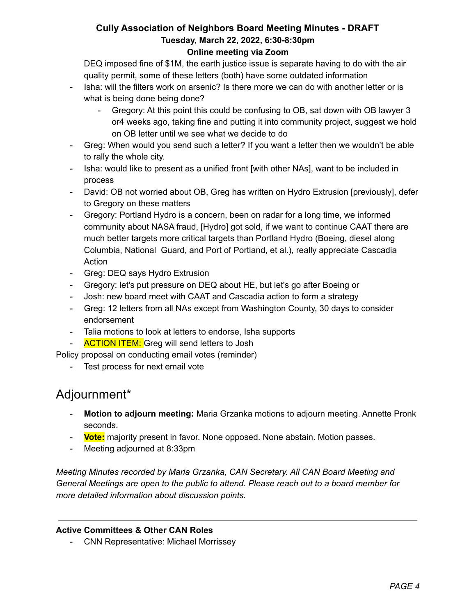DEQ imposed fine of \$1M, the earth justice issue is separate having to do with the air quality permit, some of these letters (both) have some outdated information

- Isha: will the filters work on arsenic? Is there more we can do with another letter or is what is being done being done?
	- Gregory: At this point this could be confusing to OB, sat down with OB lawyer 3 or4 weeks ago, taking fine and putting it into community project, suggest we hold on OB letter until we see what we decide to do
- Greg: When would you send such a letter? If you want a letter then we wouldn't be able to rally the whole city.
- Isha: would like to present as a unified front [with other NAs], want to be included in process
- David: OB not worried about OB, Greg has written on Hydro Extrusion [previously], defer to Gregory on these matters
- Gregory: Portland Hydro is a concern, been on radar for a long time, we informed community about NASA fraud, [Hydro] got sold, if we want to continue CAAT there are much better targets more critical targets than Portland Hydro (Boeing, diesel along Columbia, National Guard, and Port of Portland, et al.), really appreciate Cascadia Action
- Greg: DEQ says Hydro Extrusion
- Gregory: let's put pressure on DEQ about HE, but let's go after Boeing or
- Josh: new board meet with CAAT and Cascadia action to form a strategy
- Greg: 12 letters from all NAs except from Washington County, 30 days to consider endorsement
- Talia motions to look at letters to endorse, Isha supports
- **ACTION ITEM:** Greg will send letters to Josh

Policy proposal on conducting email votes (reminder)

- Test process for next email vote

# Adjournment\*

- **Motion to adjourn meeting:** Maria Grzanka motions to adjourn meeting. Annette Pronk seconds.
- **Vote:** majority present in favor. None opposed. None abstain. Motion passes.
- Meeting adjourned at 8:33pm

*Meeting Minutes recorded by Maria Grzanka, CAN Secretary. All CAN Board Meeting and General Meetings are open to the public to attend. Please reach out to a board member for more detailed information about discussion points.*

#### **Active Committees & Other CAN Roles**

- CNN Representative: Michael Morrissey